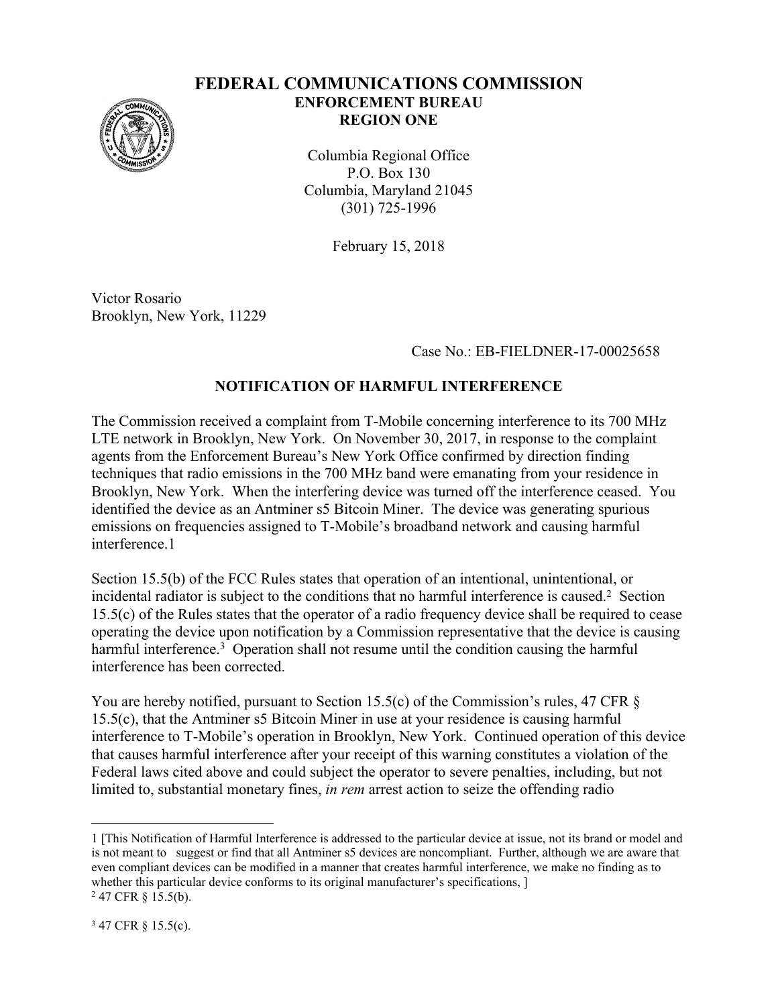

## **FEDERAL COMMUNICATIONS COMMISSION ENFORCEMENT BUREAU REGION ONE**

Columbia Regional Office P.O. Box 130 Columbia, Maryland 21045 (301) 725-1996

February 15, 2018

Victor Rosario Brooklyn, New York, 11229

Case No.: EB-FIELDNER-17-00025658

## **NOTIFICATION OF HARMFUL INTERFERENCE**

The Commission received a complaint from T-Mobile concerning interference to its 700 MHz LTE network in Brooklyn, New York. On November 30, 2017, in response to the complaint agents from the Enforcement Bureau's New York Office confirmed by direction finding techniques that radio emissions in the 700 MHz band were emanating from your residence in Brooklyn, New York. When the interfering device was turned off the interference ceased. You identified the device as an Antminer s5 Bitcoin Miner. The device was generating spurious emissions on frequencies assigned to T-Mobile's broadband network and causing harmful interference 1

Section 15.5(b) of the FCC Rules states that operation of an intentional, unintentional, or incidental radiator is subject to the conditions that no harmful interference is caused.<sup>2</sup> Section 15.5(c) of the Rules states that the operator of a radio frequency device shall be required to cease operating the device upon notification by a Commission representative that the device is causing harmful interference.<sup>3</sup> Operation shall not resume until the condition causing the harmful interference has been corrected.

You are hereby notified, pursuant to Section 15.5(c) of the Commission's rules, 47 CFR  $\S$ 15.5(c), that the Antminer s5 Bitcoin Miner in use at your residence is causing harmful interference to T-Mobile's operation in Brooklyn, New York. Continued operation of this device that causes harmful interference after your receipt of this warning constitutes a violation of the Federal laws cited above and could subject the operator to severe penalties, including, but not limited to, substantial monetary fines, *in rem* arrest action to seize the offending radio

<sup>1 [</sup>This Notification of Harmful Interference is addressed to the particular device at issue, not its brand or model and is not meant to suggest or find that all Antminer s5 devices are noncompliant. Further, although we are aware that even compliant devices can be modified in a manner that creates harmful interference, we make no finding as to whether this particular device conforms to its original manufacturer's specifications,  $\vert$ 2 47 CFR § 15.5(b).

<sup>3</sup> 47 CFR § 15.5(c).